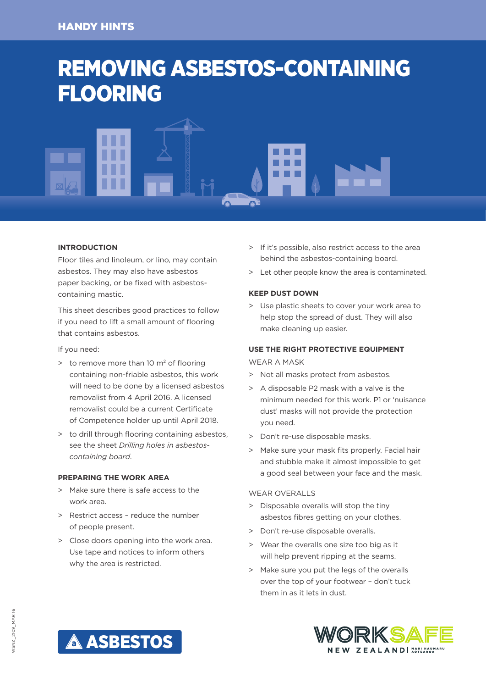# REMOVING ASBESTOS-CONTAINING FLOORING



# **INTRODUCTION**

Floor tiles and linoleum, or lino, may contain asbestos. They may also have asbestos paper backing, or be fixed with asbestoscontaining mastic.

This sheet describes good practices to follow if you need to lift a small amount of flooring that contains asbestos.

If you need:

- $\ge$  to remove more than 10 m<sup>2</sup> of flooring containing non-friable asbestos, this work will need to be done by a licensed asbestos removalist from 4 April 2016. A licensed removalist could be a current Certificate of Competence holder up until April 2018.
- > to drill through flooring containing asbestos, see the sheet *Drilling holes in asbestoscontaining board*.

# **PREPARING THE WORK AREA**

- > Make sure there is safe access to the work area.
- > Restrict access reduce the number of people present.
- > Close doors opening into the work area. Use tape and notices to inform others why the area is restricted.
- > If it's possible, also restrict access to the area behind the asbestos-containing board.
- > Let other people know the area is contaminated.

# **KEEP DUST DOWN**

> Use plastic sheets to cover your work area to help stop the spread of dust. They will also make cleaning up easier.

# **USE THE RIGHT PROTECTIVE EQUIPMENT** WEAR A MASK

- > Not all masks protect from asbestos.
- > A disposable P2 mask with a valve is the minimum needed for this work. P1 or 'nuisance dust' masks will not provide the protection you need.
- > Don't re-use disposable masks.
- > Make sure your mask fits properly. Facial hair and stubble make it almost impossible to get a good seal between your face and the mask.

#### WEAR OVERALLS

- > Disposable overalls will stop the tiny asbestos fibres getting on your clothes.
- > Don't re-use disposable overalls.
- > Wear the overalls one size too big as it will help prevent ripping at the seams.
- > Make sure you put the legs of the overalls over the top of your footwear – don't tuck them in as it lets in dust.